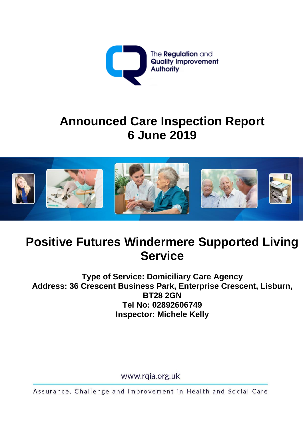

# **Announced Care Inspection Report 6 June 2019**



# **Positive Futures Windermere Supported Living Service**

**Type of Service: Domiciliary Care Agency Address: 36 Crescent Business Park, Enterprise Crescent, Lisburn, BT28 2GN Tel No: 02892606749 Inspector: Michele Kelly**

www.rqia.org.uk

Assurance, Challenge and Improvement in Health and Social Care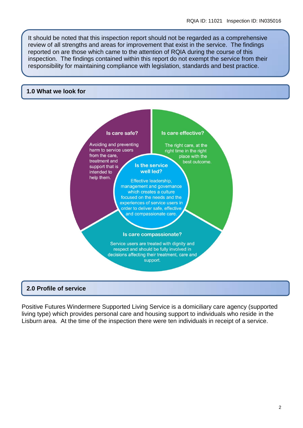It should be noted that this inspection report should not be regarded as a comprehensive review of all strengths and areas for improvement that exist in the service. The findings reported on are those which came to the attention of RQIA during the course of this inspection. The findings contained within this report do not exempt the service from their responsibility for maintaining compliance with legislation, standards and best practice.

#### **1.0 What we look for**



### **2.0 Profile of service**

Positive Futures Windermere Supported Living Service is a domiciliary care agency (supported living type) which provides personal care and housing support to individuals who reside in the Lisburn area. At the time of the inspection there were ten individuals in receipt of a service.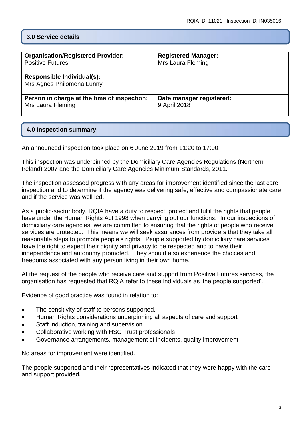# **3.0 Service details**

| <b>Organisation/Registered Provider:</b>                | <b>Registered Manager:</b> |
|---------------------------------------------------------|----------------------------|
| <b>Positive Futures</b>                                 | Mrs Laura Fleming          |
| Responsible Individual(s):<br>Mrs Agnes Philomena Lunny |                            |
| Person in charge at the time of inspection:             | Date manager registered:   |
| Mrs Laura Fleming                                       | 9 April 2018               |

## **4.0 Inspection summary**

An announced inspection took place on 6 June 2019 from 11:20 to 17:00.

This inspection was underpinned by the Domiciliary Care Agencies Regulations (Northern Ireland) 2007 and the Domiciliary Care Agencies Minimum Standards, 2011.

The inspection assessed progress with any areas for improvement identified since the last care inspection and to determine if the agency was delivering safe, effective and compassionate care and if the service was well led.

As a public-sector body, RQIA have a duty to respect, protect and fulfil the rights that people have under the Human Rights Act 1998 when carrying out our functions. In our inspections of domiciliary care agencies, we are committed to ensuring that the rights of people who receive services are protected. This means we will seek assurances from providers that they take all reasonable steps to promote people's rights. People supported by domiciliary care services have the right to expect their dignity and privacy to be respected and to have their independence and autonomy promoted. They should also experience the choices and freedoms associated with any person living in their own home.

At the request of the people who receive care and support from Positive Futures services, the organisation has requested that RQIA refer to these individuals as 'the people supported'.

Evidence of good practice was found in relation to:

- The sensitivity of staff to persons supported.
- Human Rights considerations underpinning all aspects of care and support
- Staff induction, training and supervision
- Collaborative working with HSC Trust professionals
- Governance arrangements, management of incidents, quality improvement

No areas for improvement were identified.

The people supported and their representatives indicated that they were happy with the care and support provided.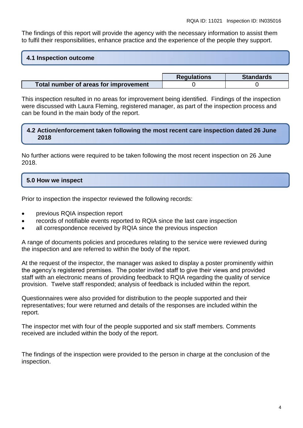The findings of this report will provide the agency with the necessary information to assist them to fulfil their responsibilities, enhance practice and the experience of the people they support.

## **4.1 Inspection outcome**

|                                       | <b>Regulations</b> | <b>Standards</b> |
|---------------------------------------|--------------------|------------------|
| Total number of areas for improvement |                    |                  |

This inspection resulted in no areas for improvement being identified. Findings of the inspection were discussed with Laura Fleming, registered manager, as part of the inspection process and can be found in the main body of the report.

### **4.2 Action/enforcement taken following the most recent care inspection dated 26 June 2018**

No further actions were required to be taken following the most recent inspection on 26 June 2018.

# **5.0 How we inspect**

Prior to inspection the inspector reviewed the following records:

- previous RQIA inspection report
- records of notifiable events reported to RQIA since the last care inspection
- all correspondence received by RQIA since the previous inspection

A range of documents policies and procedures relating to the service were reviewed during the inspection and are referred to within the body of the report.

At the request of the inspector, the manager was asked to display a poster prominently within the agency's registered premises. The poster invited staff to give their views and provided staff with an electronic means of providing feedback to RQIA regarding the quality of service provision. Twelve staff responded; analysis of feedback is included within the report.

Questionnaires were also provided for distribution to the people supported and their representatives; four were returned and details of the responses are included within the report.

The inspector met with four of the people supported and six staff members. Comments received are included within the body of the report.

The findings of the inspection were provided to the person in charge at the conclusion of the inspection.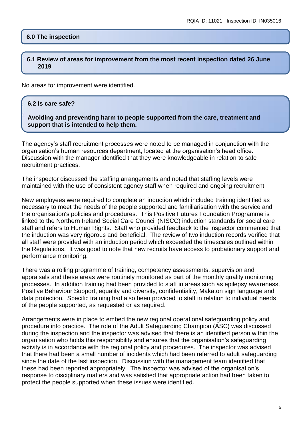## **6.0 The inspection**

#### **6.1 Review of areas for improvement from the most recent inspection dated 26 June 2019**

No areas for improvement were identified.

#### **6.2 Is care safe?**

**Avoiding and preventing harm to people supported from the care, treatment and support that is intended to help them.**

The agency's staff recruitment processes were noted to be managed in conjunction with the organisation's human resources department, located at the organisation's head office. Discussion with the manager identified that they were knowledgeable in relation to safe recruitment practices.

The inspector discussed the staffing arrangements and noted that staffing levels were maintained with the use of consistent agency staff when required and ongoing recruitment.

New employees were required to complete an induction which included training identified as necessary to meet the needs of the people supported and familiarisation with the service and the organisation's policies and procedures. This Positive Futures Foundation Programme is linked to the Northern Ireland Social Care Council (NISCC) induction standards for social care staff and refers to Human Rights. Staff who provided feedback to the inspector commented that the induction was very rigorous and beneficial. The review of two induction records verified that all staff were provided with an induction period which exceeded the timescales outlined within the Regulations. It was good to note that new recruits have access to probationary support and performance monitoring.

There was a rolling programme of training, competency assessments, supervision and appraisals and these areas were routinely monitored as part of the monthly quality monitoring processes. In addition training had been provided to staff in areas such as epilepsy awareness, Positive Behaviour Support, equality and diversity, confidentiality, Makaton sign language and data protection. Specific training had also been provided to staff in relation to individual needs of the people supported, as requested or as required.

Arrangements were in place to embed the new regional operational safeguarding policy and procedure into practice. The role of the Adult Safeguarding Champion (ASC) was discussed during the inspection and the inspector was advised that there is an identified person within the organisation who holds this responsibility and ensures that the organisation's safeguarding activity is in accordance with the regional policy and procedures. The inspector was advised that there had been a small number of incidents which had been referred to adult safeguarding since the date of the last inspection. Discussion with the management team identified that these had been reported appropriately. The inspector was advised of the organisation's response to disciplinary matters and was satisfied that appropriate action had been taken to protect the people supported when these issues were identified.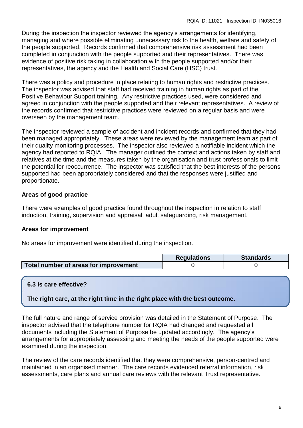During the inspection the inspector reviewed the agency's arrangements for identifying, managing and where possible eliminating unnecessary risk to the health, welfare and safety of the people supported. Records confirmed that comprehensive risk assessment had been completed in conjunction with the people supported and their representatives. There was evidence of positive risk taking in collaboration with the people supported and/or their representatives, the agency and the Health and Social Care (HSC) trust.

There was a policy and procedure in place relating to human rights and restrictive practices. The inspector was advised that staff had received training in human rights as part of the Positive Behaviour Support training. Any restrictive practices used, were considered and agreed in conjunction with the people supported and their relevant representatives. A review of the records confirmed that restrictive practices were reviewed on a regular basis and were overseen by the management team.

The inspector reviewed a sample of accident and incident records and confirmed that they had been managed appropriately. These areas were reviewed by the management team as part of their quality monitoring processes. The inspector also reviewed a notifiable incident which the agency had reported to RQIA. The manager outlined the context and actions taken by staff and relatives at the time and the measures taken by the organisation and trust professionals to limit the potential for reoccurrence. The inspector was satisfied that the best interests of the persons supported had been appropriately considered and that the responses were justified and proportionate.

# **Areas of good practice**

There were examples of good practice found throughout the inspection in relation to staff induction, training, supervision and appraisal, adult safeguarding, risk management.

# **Areas for improvement**

No areas for improvement were identified during the inspection.

|                                       | <b>Regulations</b> | <b>Standards</b> |
|---------------------------------------|--------------------|------------------|
| Total number of areas for improvement |                    |                  |

## **6.3 Is care effective?**

**The right care, at the right time in the right place with the best outcome.**

The full nature and range of service provision was detailed in the Statement of Purpose. The inspector advised that the telephone number for RQIA had changed and requested all documents including the Statement of Purpose be updated accordingly. The agency's arrangements for appropriately assessing and meeting the needs of the people supported were examined during the inspection.

The review of the care records identified that they were comprehensive, person-centred and maintained in an organised manner. The care records evidenced referral information, risk assessments, care plans and annual care reviews with the relevant Trust representative.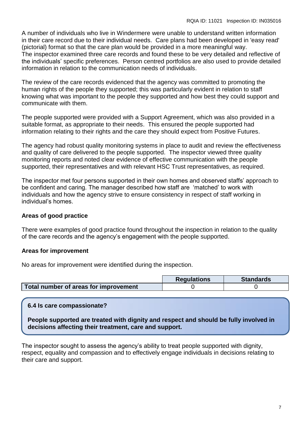A number of individuals who live in Windermere were unable to understand written information in their care record due to their individual needs. Care plans had been developed in 'easy read' (pictorial) format so that the care plan would be provided in a more meaningful way. The inspector examined three care records and found these to be very detailed and reflective of the individuals' specific preferences. Person centred portfolios are also used to provide detailed information in relation to the communication needs of individuals.

The review of the care records evidenced that the agency was committed to promoting the human rights of the people they supported; this was particularly evident in relation to staff knowing what was important to the people they supported and how best they could support and communicate with them.

The people supported were provided with a Support Agreement, which was also provided in a suitable format, as appropriate to their needs. This ensured the people supported had information relating to their rights and the care they should expect from Positive Futures.

The agency had robust quality monitoring systems in place to audit and review the effectiveness and quality of care delivered to the people supported. The inspector viewed three quality monitoring reports and noted clear evidence of effective communication with the people supported, their representatives and with relevant HSC Trust representatives, as required.

The inspector met four persons supported in their own homes and observed staffs' approach to be confident and caring. The manager described how staff are 'matched' to work with individuals and how the agency strive to ensure consistency in respect of staff working in individual's homes.

## **Areas of good practice**

There were examples of good practice found throughout the inspection in relation to the quality of the care records and the agency's engagement with the people supported.

## **Areas for improvement**

No areas for improvement were identified during the inspection.

|                                       | <b>Requlations</b> | <b>Standards</b> |
|---------------------------------------|--------------------|------------------|
| Total number of areas for improvement |                    |                  |

# **6.4 Is care compassionate?**

**People supported are treated with dignity and respect and should be fully involved in decisions affecting their treatment, care and support.**

The inspector sought to assess the agency's ability to treat people supported with dignity, respect, equality and compassion and to effectively engage individuals in decisions relating to their care and support.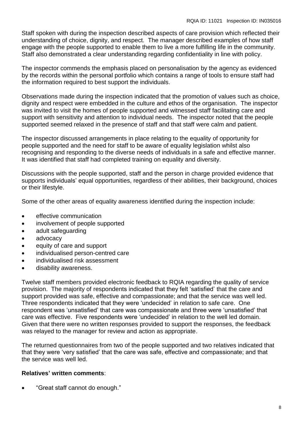Staff spoken with during the inspection described aspects of care provision which reflected their understanding of choice, dignity, and respect. The manager described examples of how staff engage with the people supported to enable them to live a more fulfilling life in the community. Staff also demonstrated a clear understanding regarding confidentiality in line with policy.

The inspector commends the emphasis placed on personalisation by the agency as evidenced by the records within the personal portfolio which contains a range of tools to ensure staff had the information required to best support the individuals.

Observations made during the inspection indicated that the promotion of values such as choice, dignity and respect were embedded in the culture and ethos of the organisation. The inspector was invited to visit the homes of people supported and witnessed staff facilitating care and support with sensitivity and attention to individual needs. The inspector noted that the people supported seemed relaxed in the presence of staff and that staff were calm and patient.

The inspector discussed arrangements in place relating to the equality of opportunity for people supported and the need for staff to be aware of equality legislation whilst also recognising and responding to the diverse needs of individuals in a safe and effective manner. It was identified that staff had completed training on equality and diversity.

Discussions with the people supported, staff and the person in charge provided evidence that supports individuals' equal opportunities, regardless of their abilities, their background, choices or their lifestyle.

Some of the other areas of equality awareness identified during the inspection include:

- **e** effective communication
- involvement of people supported
- adult safeguarding
- advocacy
- equity of care and support
- individualised person-centred care
- individualised risk assessment
- disability awareness.

Twelve staff members provided electronic feedback to RQIA regarding the quality of service provision. The majority of respondents indicated that they felt 'satisfied' that the care and support provided was safe, effective and compassionate; and that the service was well led. Three respondents indicated that they were 'undecided' in relation to safe care. One respondent was 'unsatisfied' that care was compassionate and three were 'unsatisfied' that care was effective. Five respondents were 'undecided' in relation to the well led domain. Given that there were no written responses provided to support the responses, the feedback was relayed to the manager for review and action as appropriate.

The returned questionnaires from two of the people supported and two relatives indicated that that they were 'very satisfied' that the care was safe, effective and compassionate; and that the service was well led.

### **Relatives' written comments**:

"Great staff cannot do enough."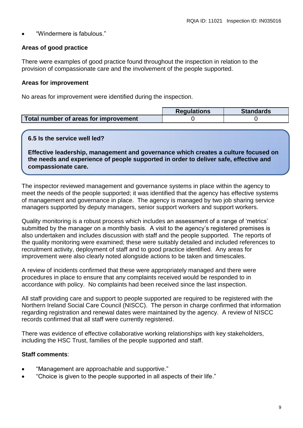"Windermere is fabulous."

## **Areas of good practice**

There were examples of good practice found throughout the inspection in relation to the provision of compassionate care and the involvement of the people supported.

### **Areas for improvement**

No areas for improvement were identified during the inspection.

|                                       | <b>Requlations</b> | <b>Standards</b> |
|---------------------------------------|--------------------|------------------|
| Total number of areas for improvement |                    |                  |

### **6.5 Is the service well led?**

**Effective leadership, management and governance which creates a culture focused on the needs and experience of people supported in order to deliver safe, effective and compassionate care.**

The inspector reviewed management and governance systems in place within the agency to meet the needs of the people supported; it was identified that the agency has effective systems of management and governance in place. The agency is managed by two job sharing service managers supported by deputy managers, senior support workers and support workers.

Quality monitoring is a robust process which includes an assessment of a range of 'metrics' submitted by the manager on a monthly basis. A visit to the agency's registered premises is also undertaken and includes discussion with staff and the people supported. The reports of the quality monitoring were examined; these were suitably detailed and included references to recruitment activity, deployment of staff and to good practice identified. Any areas for improvement were also clearly noted alongside actions to be taken and timescales.

A review of incidents confirmed that these were appropriately managed and there were procedures in place to ensure that any complaints received would be responded to in accordance with policy. No complaints had been received since the last inspection.

All staff providing care and support to people supported are required to be registered with the Northern Ireland Social Care Council (NISCC). The person in charge confirmed that information regarding registration and renewal dates were maintained by the agency. A review of NISCC records confirmed that all staff were currently registered.

There was evidence of effective collaborative working relationships with key stakeholders, including the HSC Trust, families of the people supported and staff.

## **Staff comments**:

- "Management are approachable and supportive."
- "Choice is given to the people supported in all aspects of their life."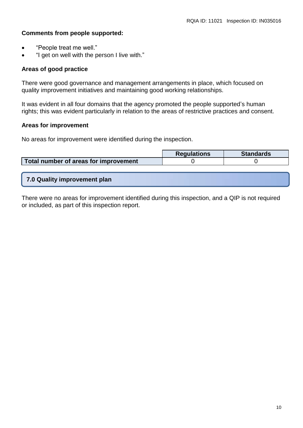#### **Comments from people supported:**

- "People treat me well."
- "I get on well with the person I live with."

#### **Areas of good practice**

There were good governance and management arrangements in place, which focused on quality improvement initiatives and maintaining good working relationships.

It was evident in all four domains that the agency promoted the people supported's human rights; this was evident particularly in relation to the areas of restrictive practices and consent.

#### **Areas for improvement**

No areas for improvement were identified during the inspection.

|                                       | <b>Regulations</b> | <b>Standards</b> |
|---------------------------------------|--------------------|------------------|
| Total number of areas for improvement |                    |                  |
|                                       |                    |                  |

**7.0 Quality improvement plan**

There were no areas for improvement identified during this inspection, and a QIP is not required or included, as part of this inspection report.